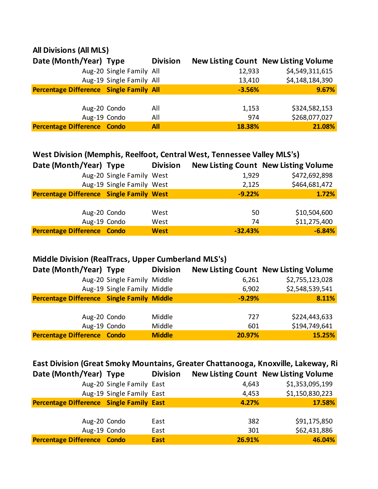#### **All Divisions (All MLS)**

| Date (Month/Year) Type                  |                          | <b>Division</b> |          | <b>New Listing Count New Listing Volume</b> |
|-----------------------------------------|--------------------------|-----------------|----------|---------------------------------------------|
|                                         | Aug-20 Single Family All |                 | 12,933   | \$4,549,311,615                             |
|                                         | Aug-19 Single Family All |                 | 13,410   | \$4,148,184,390                             |
| Percentage Difference Single Family All |                          |                 | $-3.56%$ | 9.67%                                       |
|                                         |                          |                 |          |                                             |
| Aug-20 Condo                            |                          | All             | 1,153    | \$324,582,153                               |
| Aug-19 Condo                            |                          | All             | 974      | \$268,077,027                               |
| <b>Percentage Difference Condo</b>      |                          | <b>All</b>      | 18.38%   | 21.08%                                      |

| West Division (Memphis, Reelfoot, Central West, Tennessee Valley MLS's) |                           |                 |           |                                             |
|-------------------------------------------------------------------------|---------------------------|-----------------|-----------|---------------------------------------------|
| Date (Month/Year) Type                                                  |                           | <b>Division</b> |           | <b>New Listing Count New Listing Volume</b> |
|                                                                         | Aug-20 Single Family West |                 | 1,929     | \$472,692,898                               |
|                                                                         | Aug-19 Single Family West |                 | 2,125     | \$464,681,472                               |
| <b>Percentage Difference Single Family West</b>                         |                           |                 | $-9.22%$  | 1.72%                                       |
|                                                                         |                           |                 |           |                                             |
| Aug-20 Condo                                                            |                           | West            | 50        | \$10,504,600                                |
| Aug-19 Condo                                                            |                           | West            | 74        | \$11,275,400                                |
| <b>Percentage Difference Condo</b>                                      |                           | <b>West</b>     | $-32.43%$ | $-6.84%$                                    |

### **Middle Division (RealTracs, Upper Cumberland MLS's)**

| Date (Month/Year) Type                            |                             | <b>Division</b> |          | <b>New Listing Count New Listing Volume</b> |
|---------------------------------------------------|-----------------------------|-----------------|----------|---------------------------------------------|
|                                                   | Aug-20 Single Family Middle |                 | 6,261    | \$2,755,123,028                             |
|                                                   | Aug-19 Single Family Middle |                 | 6,902    | \$2,548,539,541                             |
| <b>Percentage Difference Single Family Middle</b> |                             |                 | $-9.29%$ | 8.11%                                       |
|                                                   |                             |                 |          |                                             |
| Aug-20 Condo                                      |                             | Middle          | 727      | \$224,443,633                               |
| Aug-19 Condo                                      |                             | Middle          | 601      | \$194,749,641                               |
| <b>Percentage Difference Condo</b>                |                             | <b>Middle</b>   | 20.97%   | 15.25%                                      |

| East Division (Great Smoky Mountains, Greater Chattanooga, Knoxville, Lakeway, Ri |                           |                 |        |                                             |
|-----------------------------------------------------------------------------------|---------------------------|-----------------|--------|---------------------------------------------|
| Date (Month/Year) Type                                                            |                           | <b>Division</b> |        | <b>New Listing Count New Listing Volume</b> |
|                                                                                   | Aug-20 Single Family East |                 | 4,643  | \$1,353,095,199                             |
|                                                                                   | Aug-19 Single Family East |                 | 4,453  | \$1,150,830,223                             |
| Percentage Difference Single Family East                                          |                           |                 | 4.27%  | 17.58%                                      |
|                                                                                   | Aug-20 Condo              | East            | 382    | \$91,175,850                                |
|                                                                                   | Aug-19 Condo              | East            | 301    | \$62,431,886                                |
| <b>Percentage Difference Condo</b>                                                |                           | <b>East</b>     | 26.91% | 46.04%                                      |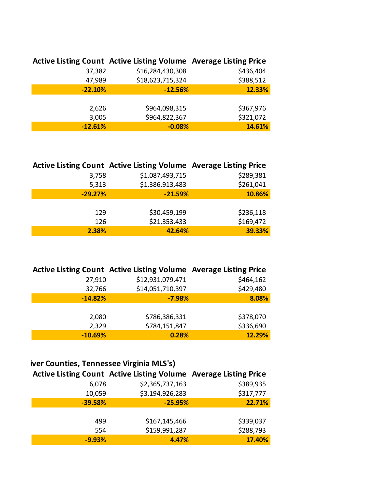|           | Active Listing Count Active Listing Volume Average Listing Price |           |
|-----------|------------------------------------------------------------------|-----------|
| 37,382    | \$16,284,430,308                                                 | \$436,404 |
| 47,989    | \$18,623,715,324                                                 | \$388,512 |
| $-22.10%$ | $-12.56%$                                                        | 12.33%    |
|           |                                                                  |           |
| 2,626     | \$964,098,315                                                    | \$367,976 |
| 3,005     | \$964,822,367                                                    | \$321,072 |
| $-12.61%$ | $-0.08%$                                                         | 14.61%    |

|           | Active Listing Count Active Listing Volume Average Listing Price |           |
|-----------|------------------------------------------------------------------|-----------|
| 3,758     | \$1,087,493,715                                                  | \$289,381 |
| 5,313     | \$1,386,913,483                                                  | \$261,041 |
| $-29.27%$ | $-21.59%$                                                        | 10.86%    |
|           |                                                                  |           |
| 129       | \$30,459,199                                                     | \$236,118 |
| 126       | \$21,353,433                                                     | \$169,472 |
| 2.38%     | 42.64%                                                           | 39.33%    |

|           | Active Listing Count Active Listing Volume Average Listing Price |           |
|-----------|------------------------------------------------------------------|-----------|
| 27,910    | \$12,931,079,471                                                 | \$464,162 |
| 32,766    | \$14,051,710,397                                                 | \$429,480 |
| $-14.82%$ | $-7.98%$                                                         | 8.08%     |
|           |                                                                  |           |
| 2,080     | \$786,386,331                                                    | \$378,070 |
| 2,329     | \$784,151,847                                                    | \$336,690 |
| $-10.69%$ | 0.28%                                                            | 12.29%    |

## iver Counties, Tennessee Virginia MLS's)

|           | Active Listing Count Active Listing Volume Average Listing Price |           |
|-----------|------------------------------------------------------------------|-----------|
| 6,078     | \$2,365,737,163                                                  | \$389,935 |
| 10,059    | \$3,194,926,283                                                  | \$317,777 |
| $-39.58%$ | $-25.95%$                                                        | 22.71%    |
|           |                                                                  |           |
| 499       | \$167,145,466                                                    | \$339,037 |
| 554       | \$159,991,287                                                    | \$288,793 |
| $-9.93%$  | 4.47%                                                            | 17.40%    |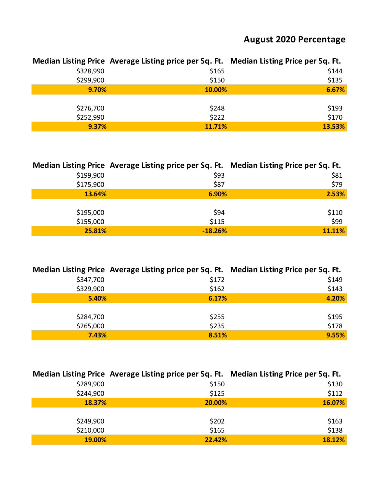## **August 2020 Percentage**

|           | Median Listing Price Average Listing price per Sq. Ft. Median Listing Price per Sq. Ft. |        |
|-----------|-----------------------------------------------------------------------------------------|--------|
| \$328,990 | \$165                                                                                   | \$144  |
| \$299,900 | \$150                                                                                   | \$135  |
| 9.70%     | 10.00%                                                                                  | 6.67%  |
|           |                                                                                         |        |
| \$276,700 | \$248                                                                                   | \$193  |
| \$252,990 | \$222                                                                                   | \$170  |
| 9.37%     | 11.71%                                                                                  | 13.53% |

|           | Median Listing Price Average Listing price per Sq. Ft. Median Listing Price per Sq. Ft. |        |
|-----------|-----------------------------------------------------------------------------------------|--------|
| \$199,900 | \$93                                                                                    | \$81   |
| \$175,900 | \$87                                                                                    | \$79   |
| 13.64%    | 6.90%                                                                                   | 2.53%  |
|           |                                                                                         |        |
| \$195,000 | \$94                                                                                    | \$110  |
| \$155,000 | \$115                                                                                   | \$99   |
| 25.81%    | $-18.26%$                                                                               | 11.11% |

|           | Median Listing Price Average Listing price per Sq. Ft. Median Listing Price per Sq. Ft. |       |
|-----------|-----------------------------------------------------------------------------------------|-------|
| \$347,700 | \$172                                                                                   | \$149 |
| \$329,900 | \$162                                                                                   | \$143 |
| 5.40%     | 6.17%                                                                                   | 4.20% |
|           |                                                                                         |       |
| \$284,700 | \$255                                                                                   | \$195 |
| \$265,000 | \$235                                                                                   | \$178 |
| 7.43%     | 8.51%                                                                                   | 9.55% |

|           | Median Listing Price Average Listing price per Sq. Ft. Median Listing Price per Sq. Ft. |        |
|-----------|-----------------------------------------------------------------------------------------|--------|
| \$289,900 | \$150                                                                                   | \$130  |
| \$244,900 | \$125                                                                                   | \$112  |
| 18.37%    | 20.00%                                                                                  | 16.07% |
|           |                                                                                         |        |
| \$249,900 | \$202                                                                                   | \$163  |
| \$210,000 | \$165                                                                                   | \$138  |
| 19.00%    | 22.42%                                                                                  | 18.12% |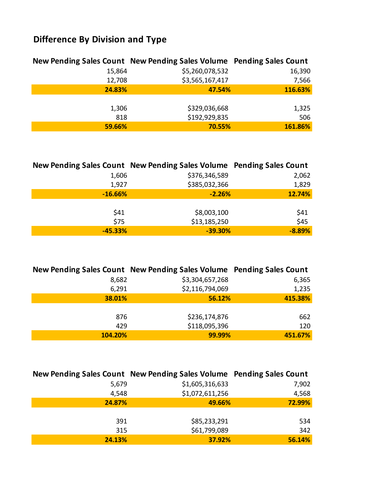# **Difference By Division and Type**

|        | New Pending Sales Count New Pending Sales Volume Pending Sales Count |         |
|--------|----------------------------------------------------------------------|---------|
| 15,864 | \$5,260,078,532                                                      | 16,390  |
| 12,708 | \$3,565,167,417                                                      | 7,566   |
| 24.83% | 47.54%                                                               | 116.63% |
|        |                                                                      |         |
| 1,306  | \$329,036,668                                                        | 1,325   |
| 818    | \$192,929,835                                                        | 506     |
| 59.66% | 70.55%                                                               | 161.86% |

|           | New Pending Sales Count New Pending Sales Volume Pending Sales Count |          |
|-----------|----------------------------------------------------------------------|----------|
| 1,606     | \$376,346,589                                                        | 2,062    |
| 1,927     | \$385,032,366                                                        | 1,829    |
| $-16.66%$ | $-2.26%$                                                             | 12.74%   |
|           |                                                                      |          |
| \$41      | \$8,003,100                                                          | \$41     |
| \$75      | \$13,185,250                                                         | \$45     |
| $-45.33%$ | $-39.30%$                                                            | $-8.89%$ |

|         | New Pending Sales Count New Pending Sales Volume Pending Sales Count |         |
|---------|----------------------------------------------------------------------|---------|
| 8,682   | \$3,304,657,268                                                      | 6,365   |
| 6,291   | \$2,116,794,069                                                      | 1,235   |
| 38.01%  | 56.12%                                                               | 415.38% |
|         |                                                                      |         |
| 876     | \$236,174,876                                                        | 662     |
| 429     | \$118,095,396                                                        | 120     |
| 104.20% | 99.99%                                                               | 451.67% |

|        | New Pending Sales Count New Pending Sales Volume Pending Sales Count |        |
|--------|----------------------------------------------------------------------|--------|
| 5,679  | \$1,605,316,633                                                      | 7,902  |
| 4,548  | \$1,072,611,256                                                      | 4,568  |
| 24.87% | 49.66%                                                               | 72.99% |
|        |                                                                      |        |
| 391    | \$85,233,291                                                         | 534    |
| 315    | \$61,799,089                                                         | 342    |
| 24.13% | 37.92%                                                               | 56.14% |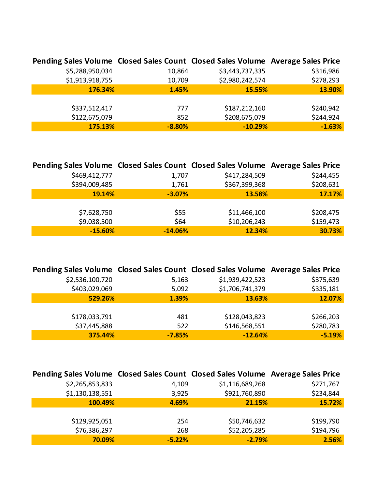| Pending Sales Volume Closed Sales Count Closed Sales Volume Average Sales Price |          |                 |           |
|---------------------------------------------------------------------------------|----------|-----------------|-----------|
| \$5,288,950,034                                                                 | 10,864   | \$3,443,737,335 | \$316,986 |
| \$1,913,918,755                                                                 | 10,709   | \$2,980,242,574 | \$278,293 |
| 176.34%                                                                         | 1.45%    | 15.55%          | 13.90%    |
|                                                                                 |          |                 |           |
| \$337,512,417                                                                   | 777      | \$187,212,160   | \$240,942 |
| \$122,675,079                                                                   | 852      | \$208,675,079   | \$244,924 |
| 175.13%                                                                         | $-8.80%$ | $-10.29%$       | $-1.63%$  |

| Pending Sales Volume Closed Sales Count Closed Sales Volume Average Sales Price |           |               |           |
|---------------------------------------------------------------------------------|-----------|---------------|-----------|
| \$469,412,777                                                                   | 1,707     | \$417,284,509 | \$244,455 |
| \$394,009,485                                                                   | 1,761     | \$367,399,368 | \$208,631 |
| 19.14%                                                                          | $-3.07%$  | 13.58%        | 17.17%    |
|                                                                                 |           |               |           |
| \$7,628,750                                                                     | \$55      | \$11,466,100  | \$208,475 |
| \$9,038,500                                                                     | \$64      | \$10,206,243  | \$159,473 |
| $-15.60%$                                                                       | $-14.06%$ | 12.34%        | 30.73%    |

| Pending Sales Volume Closed Sales Count Closed Sales Volume Average Sales Price |          |                 |           |
|---------------------------------------------------------------------------------|----------|-----------------|-----------|
| \$2,536,100,720                                                                 | 5,163    | \$1,939,422,523 | \$375,639 |
| \$403,029,069                                                                   | 5,092    | \$1,706,741,379 | \$335,181 |
| 529.26%                                                                         | 1.39%    | 13.63%          | 12.07%    |
|                                                                                 |          |                 |           |
| \$178,033,791                                                                   | 481      | \$128,043,823   | \$266,203 |
| \$37,445,888                                                                    | 522      | \$146,568,551   | \$280,783 |
| 375.44%                                                                         | $-7.85%$ | $-12.64%$       | $-5.19%$  |

| Pending Sales Volume Closed Sales Count Closed Sales Volume Average Sales Price |          |                 |           |
|---------------------------------------------------------------------------------|----------|-----------------|-----------|
| \$2,265,853,833                                                                 | 4,109    | \$1,116,689,268 | \$271,767 |
| \$1,130,138,551                                                                 | 3,925    | \$921,760,890   | \$234,844 |
| 100.49%                                                                         | 4.69%    | 21.15%          | 15.72%    |
|                                                                                 |          |                 |           |
| \$129,925,051                                                                   | 254      | \$50,746,632    | \$199,790 |
| \$76,386,297                                                                    | 268      | \$52,205,285    | \$194,796 |
| 70.09%                                                                          | $-5.22%$ | $-2.79%$        | 2.56%     |